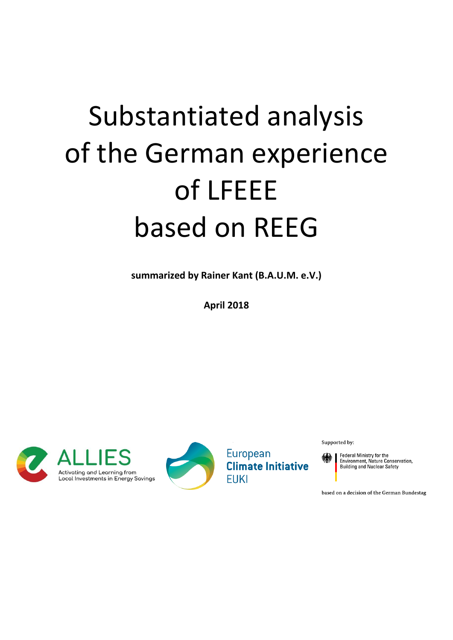# Substantiated analysis of the German experience of LFEEE based on REEG

**summarized by Rainer Kant (B.A.U.M. e.V.)**

**April 2018**





European **Climate Initiative FUKI** 

Supported by:

Federal Ministry for the<br>Environment, Nature Conservation,<br>Building and Nuclear Safety

based on a decision of the German Bundestag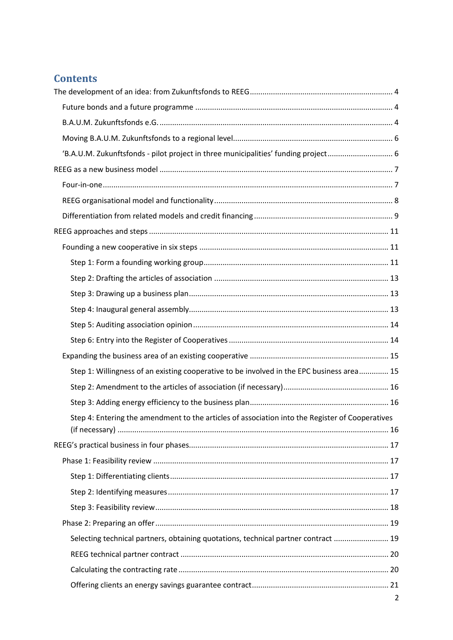# **Contents**

| 'B.A.U.M. Zukunftsfonds - pilot project in three municipalities' funding project 6              |  |
|-------------------------------------------------------------------------------------------------|--|
|                                                                                                 |  |
|                                                                                                 |  |
|                                                                                                 |  |
|                                                                                                 |  |
|                                                                                                 |  |
|                                                                                                 |  |
|                                                                                                 |  |
|                                                                                                 |  |
|                                                                                                 |  |
|                                                                                                 |  |
|                                                                                                 |  |
|                                                                                                 |  |
|                                                                                                 |  |
| Step 1: Willingness of an existing cooperative to be involved in the EPC business area 15       |  |
|                                                                                                 |  |
|                                                                                                 |  |
| Step 4: Entering the amendment to the articles of association into the Register of Cooperatives |  |
|                                                                                                 |  |
|                                                                                                 |  |
|                                                                                                 |  |
|                                                                                                 |  |
|                                                                                                 |  |
|                                                                                                 |  |
|                                                                                                 |  |
| Selecting technical partners, obtaining quotations, technical partner contract  19              |  |
|                                                                                                 |  |
|                                                                                                 |  |
|                                                                                                 |  |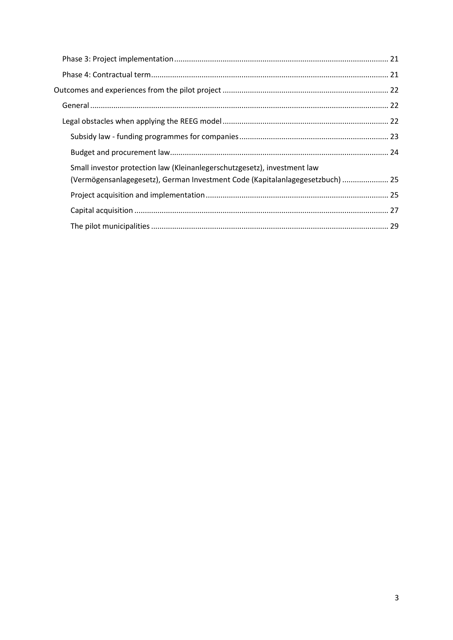| Small investor protection law (Kleinanlegerschutzgesetz), investment law      |  |
|-------------------------------------------------------------------------------|--|
| (Vermögensanlagegesetz), German Investment Code (Kapitalanlagegesetzbuch)  25 |  |
|                                                                               |  |
|                                                                               |  |
|                                                                               |  |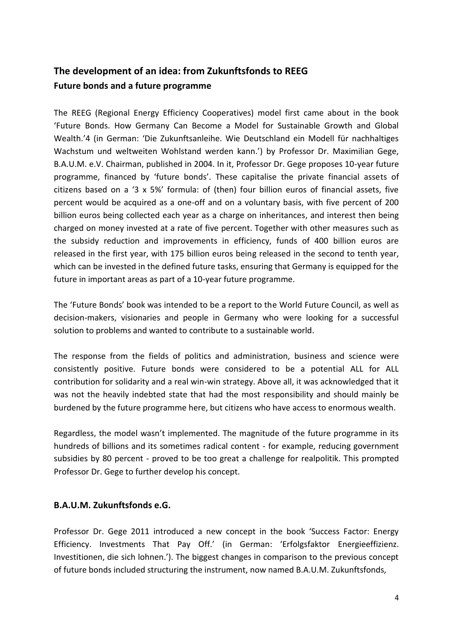# <span id="page-3-1"></span><span id="page-3-0"></span>**The development of an idea: from Zukunftsfonds to REEG Future bonds and a future programme**

The REEG (Regional Energy Efficiency Cooperatives) model first came about in the book 'Future Bonds. How Germany Can Become a Model for Sustainable Growth and Global Wealth.'4 (in German: 'Die Zukunftsanleihe. Wie Deutschland ein Modell für nachhaltiges Wachstum und weltweiten Wohlstand werden kann.') by Professor Dr. Maximilian Gege, B.A.U.M. e.V. Chairman, published in 2004. In it, Professor Dr. Gege proposes 10-year future programme, financed by 'future bonds'. These capitalise the private financial assets of citizens based on a '3 x 5%' formula: of (then) four billion euros of financial assets, five percent would be acquired as a one-off and on a voluntary basis, with five percent of 200 billion euros being collected each year as a charge on inheritances, and interest then being charged on money invested at a rate of five percent. Together with other measures such as the subsidy reduction and improvements in efficiency, funds of 400 billion euros are released in the first year, with 175 billion euros being released in the second to tenth year, which can be invested in the defined future tasks, ensuring that Germany is equipped for the future in important areas as part of a 10-year future programme.

The 'Future Bonds' book was intended to be a report to the World Future Council, as well as decision-makers, visionaries and people in Germany who were looking for a successful solution to problems and wanted to contribute to a sustainable world.

The response from the fields of politics and administration, business and science were consistently positive. Future bonds were considered to be a potential ALL for ALL contribution for solidarity and a real win-win strategy. Above all, it was acknowledged that it was not the heavily indebted state that had the most responsibility and should mainly be burdened by the future programme here, but citizens who have access to enormous wealth.

Regardless, the model wasn't implemented. The magnitude of the future programme in its hundreds of billions and its sometimes radical content - for example, reducing government subsidies by 80 percent - proved to be too great a challenge for realpolitik. This prompted Professor Dr. Gege to further develop his concept.

# <span id="page-3-2"></span>**B.A.U.M. Zukunftsfonds e.G.**

Professor Dr. Gege 2011 introduced a new concept in the book 'Success Factor: Energy Efficiency. Investments That Pay Off.' (in German: 'Erfolgsfaktor Energieeffizienz. Investitionen, die sich lohnen.'). The biggest changes in comparison to the previous concept of future bonds included structuring the instrument, now named B.A.U.M. Zukunftsfonds,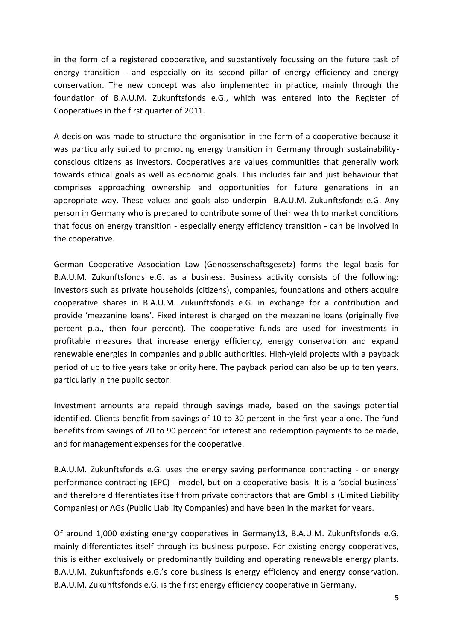in the form of a registered cooperative, and substantively focussing on the future task of energy transition - and especially on its second pillar of energy efficiency and energy conservation. The new concept was also implemented in practice, mainly through the foundation of B.A.U.M. Zukunftsfonds e.G., which was entered into the Register of Cooperatives in the first quarter of 2011.

A decision was made to structure the organisation in the form of a cooperative because it was particularly suited to promoting energy transition in Germany through sustainabilityconscious citizens as investors. Cooperatives are values communities that generally work towards ethical goals as well as economic goals. This includes fair and just behaviour that comprises approaching ownership and opportunities for future generations in an appropriate way. These values and goals also underpin B.A.U.M. Zukunftsfonds e.G. Any person in Germany who is prepared to contribute some of their wealth to market conditions that focus on energy transition - especially energy efficiency transition - can be involved in the cooperative.

German Cooperative Association Law (Genossenschaftsgesetz) forms the legal basis for B.A.U.M. Zukunftsfonds e.G. as a business. Business activity consists of the following: Investors such as private households (citizens), companies, foundations and others acquire cooperative shares in B.A.U.M. Zukunftsfonds e.G. in exchange for a contribution and provide 'mezzanine loans'. Fixed interest is charged on the mezzanine loans (originally five percent p.a., then four percent). The cooperative funds are used for investments in profitable measures that increase energy efficiency, energy conservation and expand renewable energies in companies and public authorities. High-yield projects with a payback period of up to five years take priority here. The payback period can also be up to ten years, particularly in the public sector.

Investment amounts are repaid through savings made, based on the savings potential identified. Clients benefit from savings of 10 to 30 percent in the first year alone. The fund benefits from savings of 70 to 90 percent for interest and redemption payments to be made, and for management expenses for the cooperative.

B.A.U.M. Zukunftsfonds e.G. uses the energy saving performance contracting - or energy performance contracting (EPC) - model, but on a cooperative basis. It is a 'social business' and therefore differentiates itself from private contractors that are GmbHs (Limited Liability Companies) or AGs (Public Liability Companies) and have been in the market for years.

Of around 1,000 existing energy cooperatives in Germany13, B.A.U.M. Zukunftsfonds e.G. mainly differentiates itself through its business purpose. For existing energy cooperatives, this is either exclusively or predominantly building and operating renewable energy plants. B.A.U.M. Zukunftsfonds e.G.'s core business is energy efficiency and energy conservation. B.A.U.M. Zukunftsfonds e.G. is the first energy efficiency cooperative in Germany.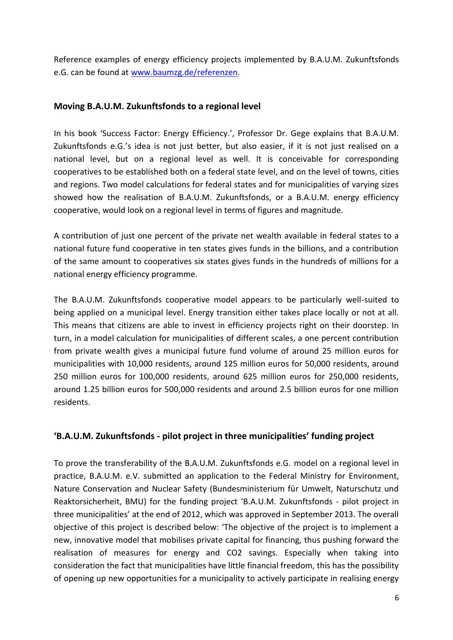Reference examples of energy efficiency projects implemented by B.A.U.M. Zukunftsfonds e.G. can be found at [www.baumzg.de/referenzen.](http://www.baumzg.de/referenzen)

# <span id="page-5-0"></span>**Moving B.A.U.M. Zukunftsfonds to a regional level**

In his book 'Success Factor: Energy Efficiency.', Professor Dr. Gege explains that B.A.U.M. Zukunftsfonds e.G.'s idea is not just better, but also easier, if it is not just realised on a national level, but on a regional level as well. It is conceivable for corresponding cooperatives to be established both on a federal state level, and on the level of towns, cities and regions. Two model calculations for federal states and for municipalities of varying sizes showed how the realisation of B.A.U.M. Zukunftsfonds, or a B.A.U.M. energy efficiency cooperative, would look on a regional level in terms of figures and magnitude.

A contribution of just one percent of the private net wealth available in federal states to a national future fund cooperative in ten states gives funds in the billions, and a contribution of the same amount to cooperatives six states gives funds in the hundreds of millions for a national energy efficiency programme.

The B.A.U.M. Zukunftsfonds cooperative model appears to be particularly well-suited to being applied on a municipal level. Energy transition either takes place locally or not at all. This means that citizens are able to invest in efficiency projects right on their doorstep. In turn, in a model calculation for municipalities of different scales, a one percent contribution from private wealth gives a municipal future fund volume of around 25 million euros for municipalities with 10,000 residents, around 125 million euros for 50,000 residents, around 250 million euros for 100,000 residents, around 625 million euros for 250,000 residents, around 1.25 billion euros for 500,000 residents and around 2.5 billion euros for one million residents.

#### <span id="page-5-1"></span>**'B.A.U.M. Zukunftsfonds - pilot project in three municipalities' funding project**

To prove the transferability of the B.A.U.M. Zukunftsfonds e.G. model on a regional level in practice, B.A.U.M. e.V. submitted an application to the Federal Ministry for Environment, Nature Conservation and Nuclear Safety (Bundesministerium für Umwelt, Naturschutz und Reaktorsicherheit, BMU) for the funding project 'B.A.U.M. Zukunftsfonds - pilot project in three municipalities' at the end of 2012, which was approved in September 2013. The overall objective of this project is described below: 'The objective of the project is to implement a new, innovative model that mobilises private capital for financing, thus pushing forward the realisation of measures for energy and CO2 savings. Especially when taking into consideration the fact that municipalities have little financial freedom, this has the possibility of opening up new opportunities for a municipality to actively participate in realising energy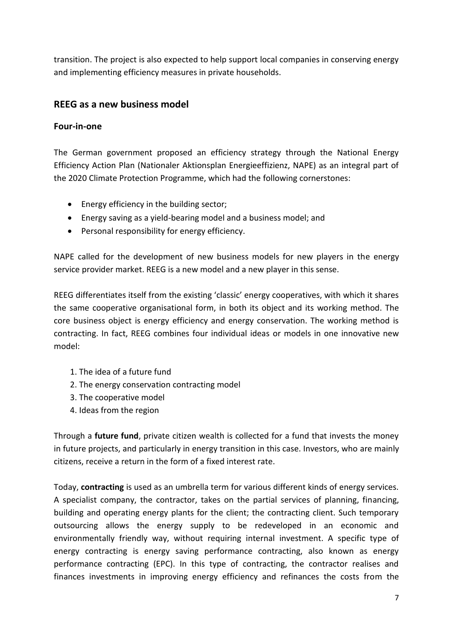transition. The project is also expected to help support local companies in conserving energy and implementing efficiency measures in private households.

# <span id="page-6-0"></span>**REEG as a new business model**

#### <span id="page-6-1"></span>**Four-in-one**

The German government proposed an efficiency strategy through the National Energy Efficiency Action Plan (Nationaler Aktionsplan Energieeffizienz, NAPE) as an integral part of the 2020 Climate Protection Programme, which had the following cornerstones:

- Energy efficiency in the building sector;
- Energy saving as a yield-bearing model and a business model; and
- Personal responsibility for energy efficiency.

NAPE called for the development of new business models for new players in the energy service provider market. REEG is a new model and a new player in this sense.

REEG differentiates itself from the existing 'classic' energy cooperatives, with which it shares the same cooperative organisational form, in both its object and its working method. The core business object is energy efficiency and energy conservation. The working method is contracting. In fact, REEG combines four individual ideas or models in one innovative new model:

- 1. The idea of a future fund
- 2. The energy conservation contracting model
- 3. The cooperative model
- 4. Ideas from the region

Through a **future fund**, private citizen wealth is collected for a fund that invests the money in future projects, and particularly in energy transition in this case. Investors, who are mainly citizens, receive a return in the form of a fixed interest rate.

Today, **contracting** is used as an umbrella term for various different kinds of energy services. A specialist company, the contractor, takes on the partial services of planning, financing, building and operating energy plants for the client; the contracting client. Such temporary outsourcing allows the energy supply to be redeveloped in an economic and environmentally friendly way, without requiring internal investment. A specific type of energy contracting is energy saving performance contracting, also known as energy performance contracting (EPC). In this type of contracting, the contractor realises and finances investments in improving energy efficiency and refinances the costs from the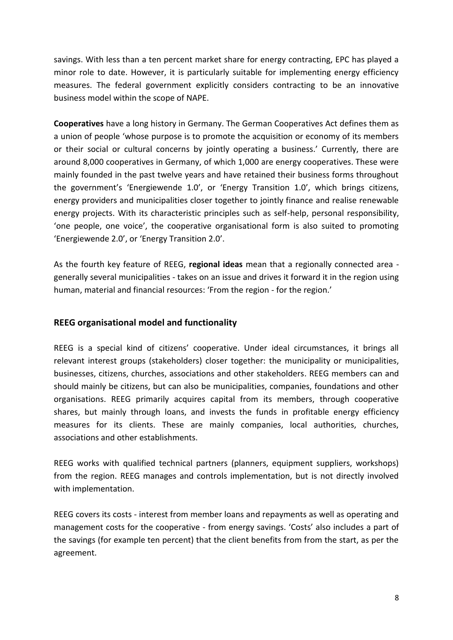savings. With less than a ten percent market share for energy contracting, EPC has played a minor role to date. However, it is particularly suitable for implementing energy efficiency measures. The federal government explicitly considers contracting to be an innovative business model within the scope of NAPE.

**Cooperatives** have a long history in Germany. The German Cooperatives Act defines them as a union of people 'whose purpose is to promote the acquisition or economy of its members or their social or cultural concerns by jointly operating a business.' Currently, there are around 8,000 cooperatives in Germany, of which 1,000 are energy cooperatives. These were mainly founded in the past twelve years and have retained their business forms throughout the government's 'Energiewende 1.0', or 'Energy Transition 1.0', which brings citizens, energy providers and municipalities closer together to jointly finance and realise renewable energy projects. With its characteristic principles such as self-help, personal responsibility, 'one people, one voice', the cooperative organisational form is also suited to promoting 'Energiewende 2.0', or 'Energy Transition 2.0'.

As the fourth key feature of REEG, **regional ideas** mean that a regionally connected area generally several municipalities - takes on an issue and drives it forward it in the region using human, material and financial resources: 'From the region - for the region.'

#### <span id="page-7-0"></span>**REEG organisational model and functionality**

REEG is a special kind of citizens' cooperative. Under ideal circumstances, it brings all relevant interest groups (stakeholders) closer together: the municipality or municipalities, businesses, citizens, churches, associations and other stakeholders. REEG members can and should mainly be citizens, but can also be municipalities, companies, foundations and other organisations. REEG primarily acquires capital from its members, through cooperative shares, but mainly through loans, and invests the funds in profitable energy efficiency measures for its clients. These are mainly companies, local authorities, churches, associations and other establishments.

REEG works with qualified technical partners (planners, equipment suppliers, workshops) from the region. REEG manages and controls implementation, but is not directly involved with implementation.

REEG covers its costs - interest from member loans and repayments as well as operating and management costs for the cooperative - from energy savings. 'Costs' also includes a part of the savings (for example ten percent) that the client benefits from from the start, as per the agreement.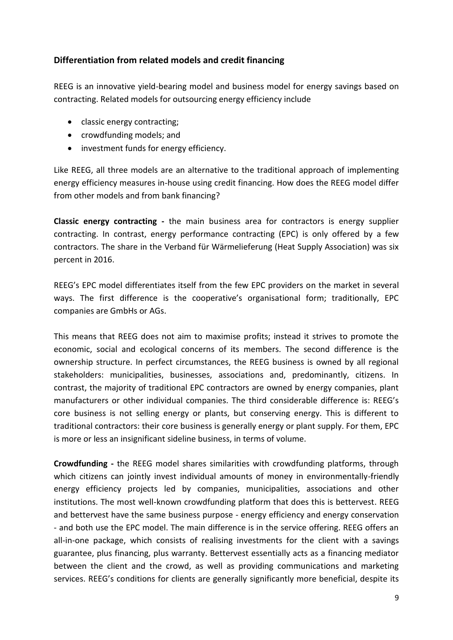# <span id="page-8-0"></span>**Differentiation from related models and credit financing**

REEG is an innovative yield-bearing model and business model for energy savings based on contracting. Related models for outsourcing energy efficiency include

- classic energy contracting;
- crowdfunding models; and
- investment funds for energy efficiency.

Like REEG, all three models are an alternative to the traditional approach of implementing energy efficiency measures in-house using credit financing. How does the REEG model differ from other models and from bank financing?

**Classic energy contracting -** the main business area for contractors is energy supplier contracting. In contrast, energy performance contracting (EPC) is only offered by a few contractors. The share in the Verband für Wärmelieferung (Heat Supply Association) was six percent in 2016.

REEG's EPC model differentiates itself from the few EPC providers on the market in several ways. The first difference is the cooperative's organisational form; traditionally, EPC companies are GmbHs or AGs.

This means that REEG does not aim to maximise profits; instead it strives to promote the economic, social and ecological concerns of its members. The second difference is the ownership structure. In perfect circumstances, the REEG business is owned by all regional stakeholders: municipalities, businesses, associations and, predominantly, citizens. In contrast, the majority of traditional EPC contractors are owned by energy companies, plant manufacturers or other individual companies. The third considerable difference is: REEG's core business is not selling energy or plants, but conserving energy. This is different to traditional contractors: their core business is generally energy or plant supply. For them, EPC is more or less an insignificant sideline business, in terms of volume.

**Crowdfunding -** the REEG model shares similarities with crowdfunding platforms, through which citizens can jointly invest individual amounts of money in environmentally-friendly energy efficiency projects led by companies, municipalities, associations and other institutions. The most well-known crowdfunding platform that does this is bettervest. REEG and bettervest have the same business purpose - energy efficiency and energy conservation - and both use the EPC model. The main difference is in the service offering. REEG offers an all-in-one package, which consists of realising investments for the client with a savings guarantee, plus financing, plus warranty. Bettervest essentially acts as a financing mediator between the client and the crowd, as well as providing communications and marketing services. REEG's conditions for clients are generally significantly more beneficial, despite its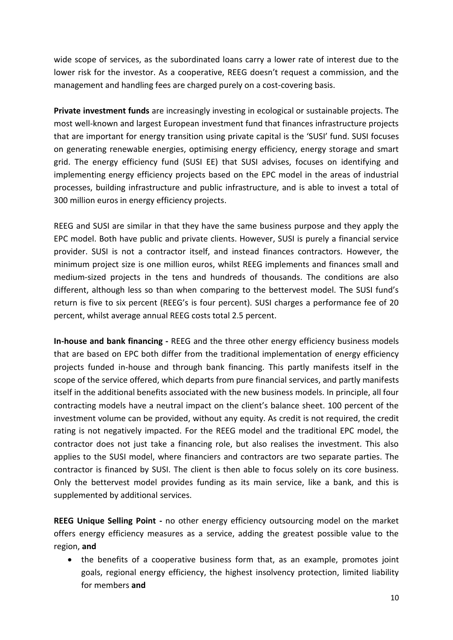wide scope of services, as the subordinated loans carry a lower rate of interest due to the lower risk for the investor. As a cooperative, REEG doesn't request a commission, and the management and handling fees are charged purely on a cost-covering basis.

**Private investment funds** are increasingly investing in ecological or sustainable projects. The most well-known and largest European investment fund that finances infrastructure projects that are important for energy transition using private capital is the 'SUSI' fund. SUSI focuses on generating renewable energies, optimising energy efficiency, energy storage and smart grid. The energy efficiency fund (SUSI EE) that SUSI advises, focuses on identifying and implementing energy efficiency projects based on the EPC model in the areas of industrial processes, building infrastructure and public infrastructure, and is able to invest a total of 300 million euros in energy efficiency projects.

REEG and SUSI are similar in that they have the same business purpose and they apply the EPC model. Both have public and private clients. However, SUSI is purely a financial service provider. SUSI is not a contractor itself, and instead finances contractors. However, the minimum project size is one million euros, whilst REEG implements and finances small and medium-sized projects in the tens and hundreds of thousands. The conditions are also different, although less so than when comparing to the bettervest model. The SUSI fund's return is five to six percent (REEG's is four percent). SUSI charges a performance fee of 20 percent, whilst average annual REEG costs total 2.5 percent.

**In-house and bank financing -** REEG and the three other energy efficiency business models that are based on EPC both differ from the traditional implementation of energy efficiency projects funded in-house and through bank financing. This partly manifests itself in the scope of the service offered, which departs from pure financial services, and partly manifests itself in the additional benefits associated with the new business models. In principle, all four contracting models have a neutral impact on the client's balance sheet. 100 percent of the investment volume can be provided, without any equity. As credit is not required, the credit rating is not negatively impacted. For the REEG model and the traditional EPC model, the contractor does not just take a financing role, but also realises the investment. This also applies to the SUSI model, where financiers and contractors are two separate parties. The contractor is financed by SUSI. The client is then able to focus solely on its core business. Only the bettervest model provides funding as its main service, like a bank, and this is supplemented by additional services.

**REEG Unique Selling Point -** no other energy efficiency outsourcing model on the market offers energy efficiency measures as a service, adding the greatest possible value to the region, **and**

 the benefits of a cooperative business form that, as an example, promotes joint goals, regional energy efficiency, the highest insolvency protection, limited liability for members **and**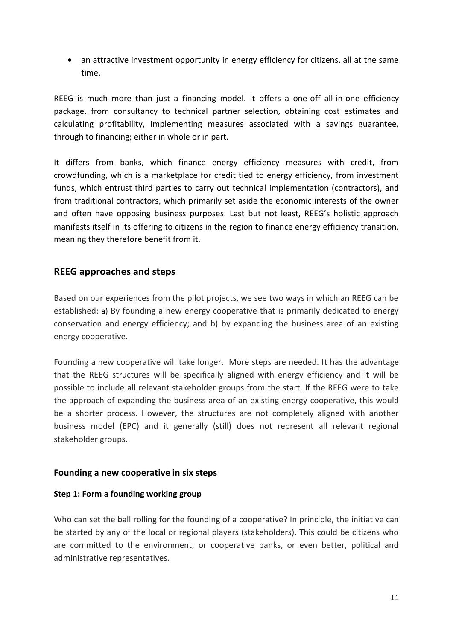an attractive investment opportunity in energy efficiency for citizens, all at the same time.

REEG is much more than just a financing model. It offers a one-off all-in-one efficiency package, from consultancy to technical partner selection, obtaining cost estimates and calculating profitability, implementing measures associated with a savings guarantee, through to financing; either in whole or in part.

It differs from banks, which finance energy efficiency measures with credit, from crowdfunding, which is a marketplace for credit tied to energy efficiency, from investment funds, which entrust third parties to carry out technical implementation (contractors), and from traditional contractors, which primarily set aside the economic interests of the owner and often have opposing business purposes. Last but not least, REEG's holistic approach manifests itself in its offering to citizens in the region to finance energy efficiency transition, meaning they therefore benefit from it.

# <span id="page-10-0"></span>**REEG approaches and steps**

Based on our experiences from the pilot projects, we see two ways in which an REEG can be established: a) By founding a new energy cooperative that is primarily dedicated to energy conservation and energy efficiency; and b) by expanding the business area of an existing energy cooperative.

Founding a new cooperative will take longer. More steps are needed. It has the advantage that the REEG structures will be specifically aligned with energy efficiency and it will be possible to include all relevant stakeholder groups from the start. If the REEG were to take the approach of expanding the business area of an existing energy cooperative, this would be a shorter process. However, the structures are not completely aligned with another business model (EPC) and it generally (still) does not represent all relevant regional stakeholder groups.

#### <span id="page-10-1"></span>**Founding a new cooperative in six steps**

#### <span id="page-10-2"></span>**Step 1: Form a founding working group**

Who can set the ball rolling for the founding of a cooperative? In principle, the initiative can be started by any of the local or regional players (stakeholders). This could be citizens who are committed to the environment, or cooperative banks, or even better, political and administrative representatives.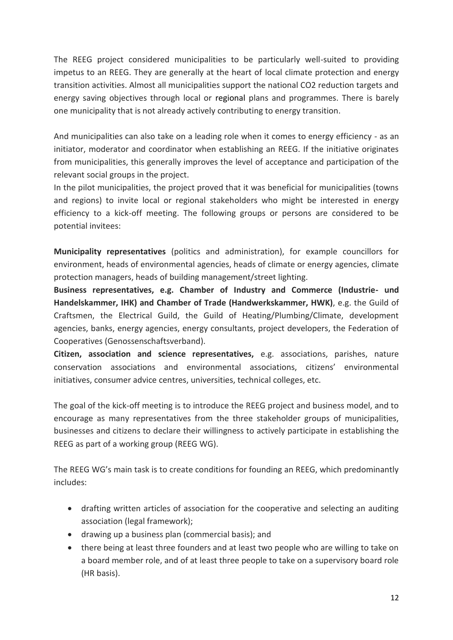The REEG project considered municipalities to be particularly well-suited to providing impetus to an REEG. They are generally at the heart of local climate protection and energy transition activities. Almost all municipalities support the national CO2 reduction targets and energy saving objectives through local or regional plans and programmes. There is barely one municipality that is not already actively contributing to energy transition.

And municipalities can also take on a leading role when it comes to energy efficiency - as an initiator, moderator and coordinator when establishing an REEG. If the initiative originates from municipalities, this generally improves the level of acceptance and participation of the relevant social groups in the project.

In the pilot municipalities, the project proved that it was beneficial for municipalities (towns and regions) to invite local or regional stakeholders who might be interested in energy efficiency to a kick-off meeting. The following groups or persons are considered to be potential invitees:

**Municipality representatives** (politics and administration), for example councillors for environment, heads of environmental agencies, heads of climate or energy agencies, climate protection managers, heads of building management/street lighting.

**Business representatives, e.g. Chamber of Industry and Commerce (Industrie- und Handelskammer, IHK) and Chamber of Trade (Handwerkskammer, HWK)**, e.g. the Guild of Craftsmen, the Electrical Guild, the Guild of Heating/Plumbing/Climate, development agencies, banks, energy agencies, energy consultants, project developers, the Federation of Cooperatives (Genossenschaftsverband).

**Citizen, association and science representatives,** e.g. associations, parishes, nature conservation associations and environmental associations, citizens' environmental initiatives, consumer advice centres, universities, technical colleges, etc.

The goal of the kick-off meeting is to introduce the REEG project and business model, and to encourage as many representatives from the three stakeholder groups of municipalities, businesses and citizens to declare their willingness to actively participate in establishing the REEG as part of a working group (REEG WG).

The REEG WG's main task is to create conditions for founding an REEG, which predominantly includes:

- drafting written articles of association for the cooperative and selecting an auditing association (legal framework);
- drawing up a business plan (commercial basis); and
- there being at least three founders and at least two people who are willing to take on a board member role, and of at least three people to take on a supervisory board role (HR basis).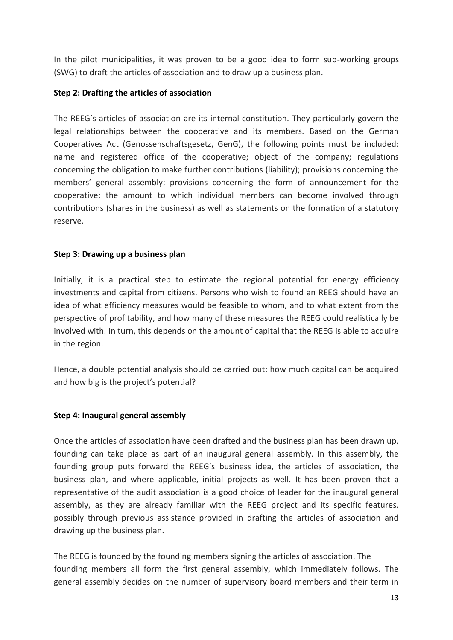In the pilot municipalities, it was proven to be a good idea to form sub-working groups (SWG) to draft the articles of association and to draw up a business plan.

#### <span id="page-12-0"></span>**Step 2: Drafting the articles of association**

The REEG's articles of association are its internal constitution. They particularly govern the legal relationships between the cooperative and its members. Based on the German Cooperatives Act (Genossenschaftsgesetz, GenG), the following points must be included: name and registered office of the cooperative; object of the company; regulations concerning the obligation to make further contributions (liability); provisions concerning the members' general assembly; provisions concerning the form of announcement for the cooperative; the amount to which individual members can become involved through contributions (shares in the business) as well as statements on the formation of a statutory reserve.

#### <span id="page-12-1"></span>**Step 3: Drawing up a business plan**

Initially, it is a practical step to estimate the regional potential for energy efficiency investments and capital from citizens. Persons who wish to found an REEG should have an idea of what efficiency measures would be feasible to whom, and to what extent from the perspective of profitability, and how many of these measures the REEG could realistically be involved with. In turn, this depends on the amount of capital that the REEG is able to acquire in the region.

Hence, a double potential analysis should be carried out: how much capital can be acquired and how big is the project's potential?

#### <span id="page-12-2"></span>**Step 4: Inaugural general assembly**

Once the articles of association have been drafted and the business plan has been drawn up, founding can take place as part of an inaugural general assembly. In this assembly, the founding group puts forward the REEG's business idea, the articles of association, the business plan, and where applicable, initial projects as well. It has been proven that a representative of the audit association is a good choice of leader for the inaugural general assembly, as they are already familiar with the REEG project and its specific features, possibly through previous assistance provided in drafting the articles of association and drawing up the business plan.

The REEG is founded by the founding members signing the articles of association. The founding members all form the first general assembly, which immediately follows. The general assembly decides on the number of supervisory board members and their term in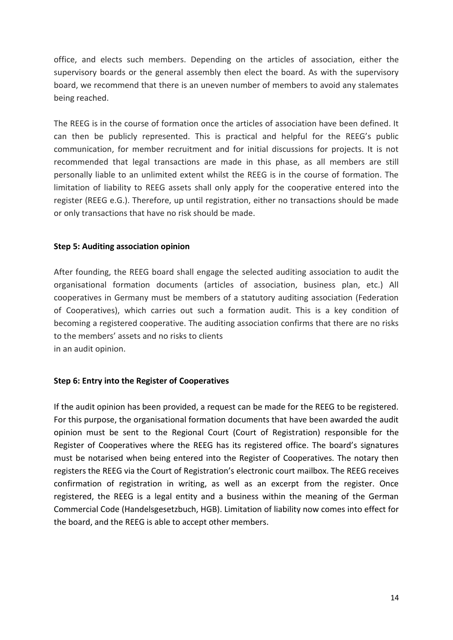office, and elects such members. Depending on the articles of association, either the supervisory boards or the general assembly then elect the board. As with the supervisory board, we recommend that there is an uneven number of members to avoid any stalemates being reached.

The REEG is in the course of formation once the articles of association have been defined. It can then be publicly represented. This is practical and helpful for the REEG's public communication, for member recruitment and for initial discussions for projects. It is not recommended that legal transactions are made in this phase, as all members are still personally liable to an unlimited extent whilst the REEG is in the course of formation. The limitation of liability to REEG assets shall only apply for the cooperative entered into the register (REEG e.G.). Therefore, up until registration, either no transactions should be made or only transactions that have no risk should be made.

#### <span id="page-13-0"></span>**Step 5: Auditing association opinion**

After founding, the REEG board shall engage the selected auditing association to audit the organisational formation documents (articles of association, business plan, etc.) All cooperatives in Germany must be members of a statutory auditing association (Federation of Cooperatives), which carries out such a formation audit. This is a key condition of becoming a registered cooperative. The auditing association confirms that there are no risks to the members' assets and no risks to clients in an audit opinion.

#### <span id="page-13-1"></span>**Step 6: Entry into the Register of Cooperatives**

<span id="page-13-2"></span>If the audit opinion has been provided, a request can be made for the REEG to be registered. For this purpose, the organisational formation documents that have been awarded the audit opinion must be sent to the Regional Court (Court of Registration) responsible for the Register of Cooperatives where the REEG has its registered office. The board's signatures must be notarised when being entered into the Register of Cooperatives. The notary then registers the REEG via the Court of Registration's electronic court mailbox. The REEG receives confirmation of registration in writing, as well as an excerpt from the register. Once registered, the REEG is a legal entity and a business within the meaning of the German Commercial Code (Handelsgesetzbuch, HGB). Limitation of liability now comes into effect for the board, and the REEG is able to accept other members.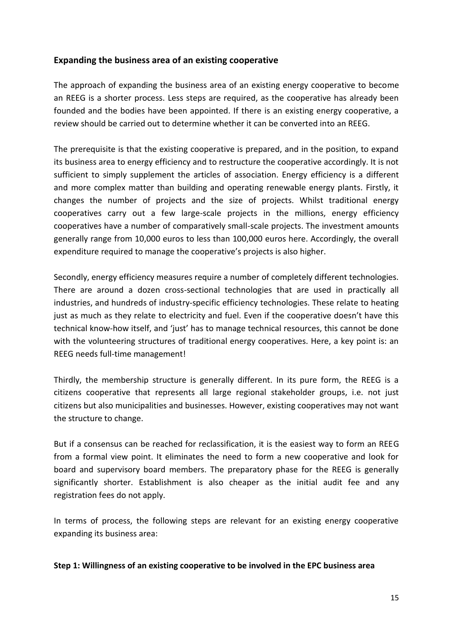## **Expanding the business area of an existing cooperative**

The approach of expanding the business area of an existing energy cooperative to become an REEG is a shorter process. Less steps are required, as the cooperative has already been founded and the bodies have been appointed. If there is an existing energy cooperative, a review should be carried out to determine whether it can be converted into an REEG.

The prerequisite is that the existing cooperative is prepared, and in the position, to expand its business area to energy efficiency and to restructure the cooperative accordingly. It is not sufficient to simply supplement the articles of association. Energy efficiency is a different and more complex matter than building and operating renewable energy plants. Firstly, it changes the number of projects and the size of projects. Whilst traditional energy cooperatives carry out a few large-scale projects in the millions, energy efficiency cooperatives have a number of comparatively small-scale projects. The investment amounts generally range from 10,000 euros to less than 100,000 euros here. Accordingly, the overall expenditure required to manage the cooperative's projects is also higher.

Secondly, energy efficiency measures require a number of completely different technologies. There are around a dozen cross-sectional technologies that are used in practically all industries, and hundreds of industry-specific efficiency technologies. These relate to heating just as much as they relate to electricity and fuel. Even if the cooperative doesn't have this technical know-how itself, and 'just' has to manage technical resources, this cannot be done with the volunteering structures of traditional energy cooperatives. Here, a key point is: an REEG needs full-time management!

Thirdly, the membership structure is generally different. In its pure form, the REEG is a citizens cooperative that represents all large regional stakeholder groups, i.e. not just citizens but also municipalities and businesses. However, existing cooperatives may not want the structure to change.

But if a consensus can be reached for reclassification, it is the easiest way to form an REEG from a formal view point. It eliminates the need to form a new cooperative and look for board and supervisory board members. The preparatory phase for the REEG is generally significantly shorter. Establishment is also cheaper as the initial audit fee and any registration fees do not apply.

In terms of process, the following steps are relevant for an existing energy cooperative expanding its business area:

#### <span id="page-14-0"></span>**Step 1: Willingness of an existing cooperative to be involved in the EPC business area**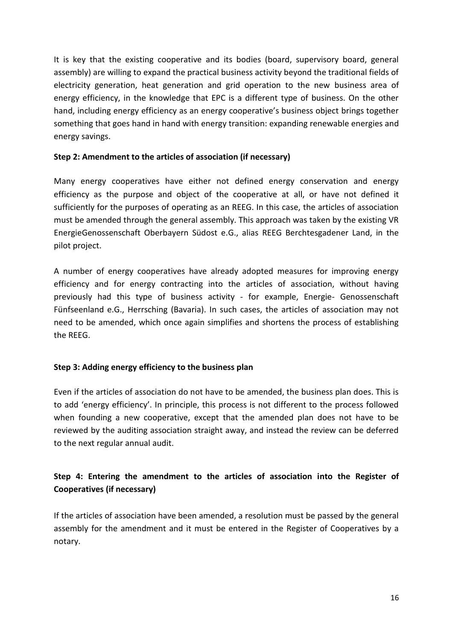It is key that the existing cooperative and its bodies (board, supervisory board, general assembly) are willing to expand the practical business activity beyond the traditional fields of electricity generation, heat generation and grid operation to the new business area of energy efficiency, in the knowledge that EPC is a different type of business. On the other hand, including energy efficiency as an energy cooperative's business object brings together something that goes hand in hand with energy transition: expanding renewable energies and energy savings.

#### <span id="page-15-0"></span>**Step 2: Amendment to the articles of association (if necessary)**

Many energy cooperatives have either not defined energy conservation and energy efficiency as the purpose and object of the cooperative at all, or have not defined it sufficiently for the purposes of operating as an REEG. In this case, the articles of association must be amended through the general assembly. This approach was taken by the existing VR EnergieGenossenschaft Oberbayern Südost e.G., alias REEG Berchtesgadener Land, in the pilot project.

A number of energy cooperatives have already adopted measures for improving energy efficiency and for energy contracting into the articles of association, without having previously had this type of business activity - for example, Energie- Genossenschaft Fünfseenland e.G., Herrsching (Bavaria). In such cases, the articles of association may not need to be amended, which once again simplifies and shortens the process of establishing the REEG.

#### <span id="page-15-1"></span>**Step 3: Adding energy efficiency to the business plan**

Even if the articles of association do not have to be amended, the business plan does. This is to add 'energy efficiency'. In principle, this process is not different to the process followed when founding a new cooperative, except that the amended plan does not have to be reviewed by the auditing association straight away, and instead the review can be deferred to the next regular annual audit.

# <span id="page-15-2"></span>**Step 4: Entering the amendment to the articles of association into the Register of Cooperatives (if necessary)**

If the articles of association have been amended, a resolution must be passed by the general assembly for the amendment and it must be entered in the Register of Cooperatives by a notary.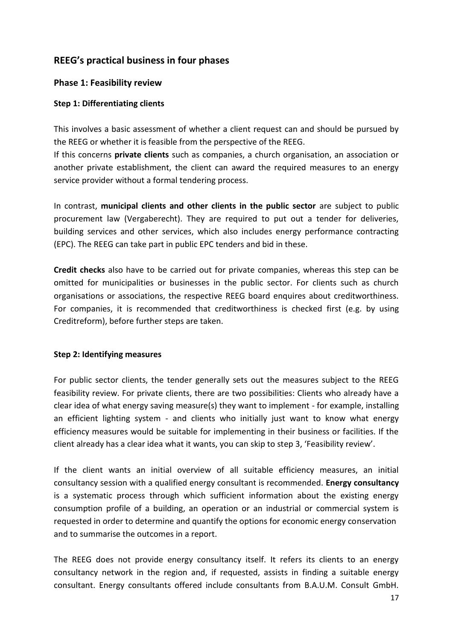# <span id="page-16-0"></span>**REEG's practical business in four phases**

# <span id="page-16-1"></span>**Phase 1: Feasibility review**

## <span id="page-16-2"></span>**Step 1: Differentiating clients**

This involves a basic assessment of whether a client request can and should be pursued by the REEG or whether it is feasible from the perspective of the REEG.

If this concerns **private clients** such as companies, a church organisation, an association or another private establishment, the client can award the required measures to an energy service provider without a formal tendering process.

In contrast, **municipal clients and other clients in the public sector** are subject to public procurement law (Vergaberecht). They are required to put out a tender for deliveries, building services and other services, which also includes energy performance contracting (EPC). The REEG can take part in public EPC tenders and bid in these.

**Credit checks** also have to be carried out for private companies, whereas this step can be omitted for municipalities or businesses in the public sector. For clients such as church organisations or associations, the respective REEG board enquires about creditworthiness. For companies, it is recommended that creditworthiness is checked first (e.g. by using Creditreform), before further steps are taken.

#### <span id="page-16-3"></span>**Step 2: Identifying measures**

For public sector clients, the tender generally sets out the measures subject to the REEG feasibility review. For private clients, there are two possibilities: Clients who already have a clear idea of what energy saving measure(s) they want to implement - for example, installing an efficient lighting system - and clients who initially just want to know what energy efficiency measures would be suitable for implementing in their business or facilities. If the client already has a clear idea what it wants, you can skip to step 3, 'Feasibility review'.

If the client wants an initial overview of all suitable efficiency measures, an initial consultancy session with a qualified energy consultant is recommended. **Energy consultancy** is a systematic process through which sufficient information about the existing energy consumption profile of a building, an operation or an industrial or commercial system is requested in order to determine and quantify the options for economic energy conservation and to summarise the outcomes in a report.

The REEG does not provide energy consultancy itself. It refers its clients to an energy consultancy network in the region and, if requested, assists in finding a suitable energy consultant. Energy consultants offered include consultants from B.A.U.M. Consult GmbH.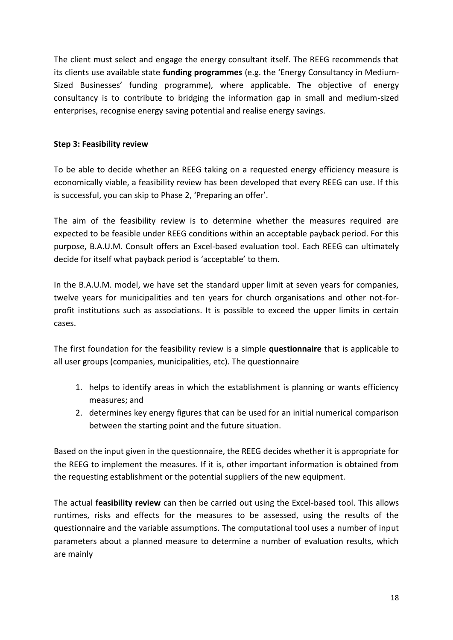The client must select and engage the energy consultant itself. The REEG recommends that its clients use available state **funding programmes** (e.g. the 'Energy Consultancy in Medium-Sized Businesses' funding programme), where applicable. The objective of energy consultancy is to contribute to bridging the information gap in small and medium-sized enterprises, recognise energy saving potential and realise energy savings.

#### <span id="page-17-0"></span>**Step 3: Feasibility review**

To be able to decide whether an REEG taking on a requested energy efficiency measure is economically viable, a feasibility review has been developed that every REEG can use. If this is successful, you can skip to Phase 2, 'Preparing an offer'.

The aim of the feasibility review is to determine whether the measures required are expected to be feasible under REEG conditions within an acceptable payback period. For this purpose, B.A.U.M. Consult offers an Excel-based evaluation tool. Each REEG can ultimately decide for itself what payback period is 'acceptable' to them.

In the B.A.U.M. model, we have set the standard upper limit at seven years for companies, twelve years for municipalities and ten years for church organisations and other not-forprofit institutions such as associations. It is possible to exceed the upper limits in certain cases.

The first foundation for the feasibility review is a simple **questionnaire** that is applicable to all user groups (companies, municipalities, etc). The questionnaire

- 1. helps to identify areas in which the establishment is planning or wants efficiency measures; and
- 2. determines key energy figures that can be used for an initial numerical comparison between the starting point and the future situation.

Based on the input given in the questionnaire, the REEG decides whether it is appropriate for the REEG to implement the measures. If it is, other important information is obtained from the requesting establishment or the potential suppliers of the new equipment.

The actual **feasibility review** can then be carried out using the Excel-based tool. This allows runtimes, risks and effects for the measures to be assessed, using the results of the questionnaire and the variable assumptions. The computational tool uses a number of input parameters about a planned measure to determine a number of evaluation results, which are mainly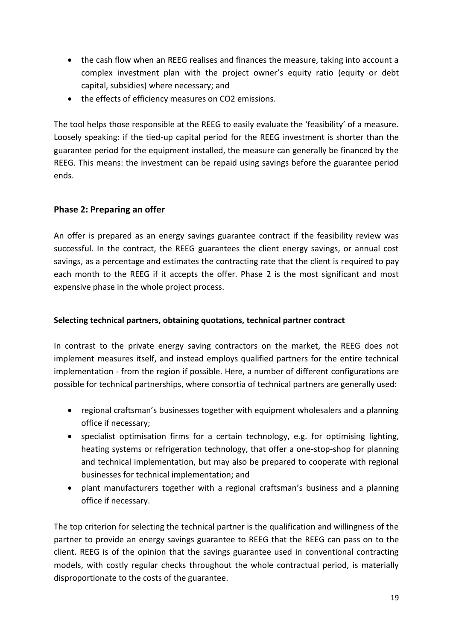- the cash flow when an REEG realises and finances the measure, taking into account a complex investment plan with the project owner's equity ratio (equity or debt capital, subsidies) where necessary; and
- the effects of efficiency measures on CO2 emissions.

The tool helps those responsible at the REEG to easily evaluate the 'feasibility' of a measure. Loosely speaking: if the tied-up capital period for the REEG investment is shorter than the guarantee period for the equipment installed, the measure can generally be financed by the REEG. This means: the investment can be repaid using savings before the guarantee period ends.

# <span id="page-18-0"></span>**Phase 2: Preparing an offer**

An offer is prepared as an energy savings guarantee contract if the feasibility review was successful. In the contract, the REEG guarantees the client energy savings, or annual cost savings, as a percentage and estimates the contracting rate that the client is required to pay each month to the REEG if it accepts the offer. Phase 2 is the most significant and most expensive phase in the whole project process.

# <span id="page-18-1"></span>**Selecting technical partners, obtaining quotations, technical partner contract**

In contrast to the private energy saving contractors on the market, the REEG does not implement measures itself, and instead employs qualified partners for the entire technical implementation - from the region if possible. Here, a number of different configurations are possible for technical partnerships, where consortia of technical partners are generally used:

- regional craftsman's businesses together with equipment wholesalers and a planning office if necessary;
- specialist optimisation firms for a certain technology, e.g. for optimising lighting, heating systems or refrigeration technology, that offer a one-stop-shop for planning and technical implementation, but may also be prepared to cooperate with regional businesses for technical implementation; and
- plant manufacturers together with a regional craftsman's business and a planning office if necessary.

The top criterion for selecting the technical partner is the qualification and willingness of the partner to provide an energy savings guarantee to REEG that the REEG can pass on to the client. REEG is of the opinion that the savings guarantee used in conventional contracting models, with costly regular checks throughout the whole contractual period, is materially disproportionate to the costs of the guarantee.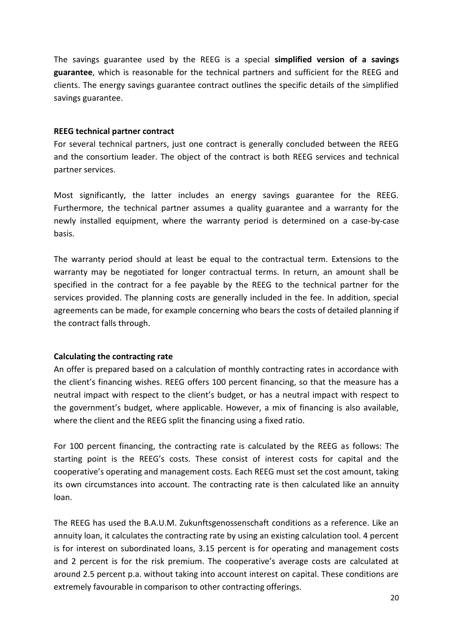The savings guarantee used by the REEG is a special **simplified version of a savings guarantee**, which is reasonable for the technical partners and sufficient for the REEG and clients. The energy savings guarantee contract outlines the specific details of the simplified savings guarantee.

#### <span id="page-19-0"></span>**REEG technical partner contract**

For several technical partners, just one contract is generally concluded between the REEG and the consortium leader. The object of the contract is both REEG services and technical partner services.

Most significantly, the latter includes an energy savings guarantee for the REEG. Furthermore, the technical partner assumes a quality guarantee and a warranty for the newly installed equipment, where the warranty period is determined on a case-by-case basis.

The warranty period should at least be equal to the contractual term. Extensions to the warranty may be negotiated for longer contractual terms. In return, an amount shall be specified in the contract for a fee payable by the REEG to the technical partner for the services provided. The planning costs are generally included in the fee. In addition, special agreements can be made, for example concerning who bears the costs of detailed planning if the contract falls through.

#### <span id="page-19-1"></span>**Calculating the contracting rate**

An offer is prepared based on a calculation of monthly contracting rates in accordance with the client's financing wishes. REEG offers 100 percent financing, so that the measure has a neutral impact with respect to the client's budget, or has a neutral impact with respect to the government's budget, where applicable. However, a mix of financing is also available, where the client and the REEG split the financing using a fixed ratio.

For 100 percent financing, the contracting rate is calculated by the REEG as follows: The starting point is the REEG's costs. These consist of interest costs for capital and the cooperative's operating and management costs. Each REEG must set the cost amount, taking its own circumstances into account. The contracting rate is then calculated like an annuity loan.

The REEG has used the B.A.U.M. Zukunftsgenossenschaft conditions as a reference. Like an annuity loan, it calculates the contracting rate by using an existing calculation tool. 4 percent is for interest on subordinated loans, 3.15 percent is for operating and management costs and 2 percent is for the risk premium. The cooperative's average costs are calculated at around 2.5 percent p.a. without taking into account interest on capital. These conditions are extremely favourable in comparison to other contracting offerings.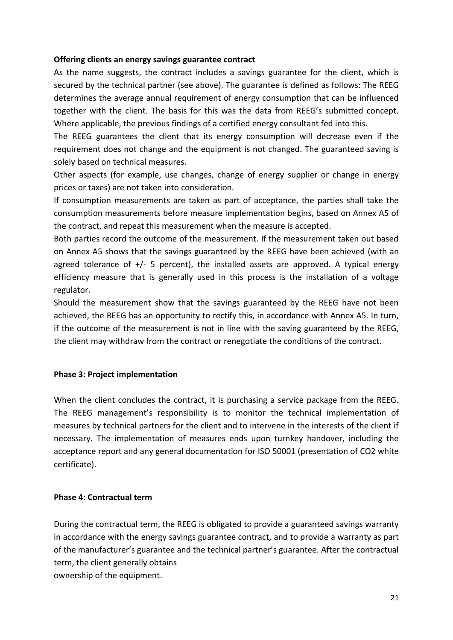#### <span id="page-20-0"></span>**Offering clients an energy savings guarantee contract**

As the name suggests, the contract includes a savings guarantee for the client, which is secured by the technical partner (see above). The guarantee is defined as follows: The REEG determines the average annual requirement of energy consumption that can be influenced together with the client. The basis for this was the data from REEG's submitted concept. Where applicable, the previous findings of a certified energy consultant fed into this.

The REEG guarantees the client that its energy consumption will decrease even if the requirement does not change and the equipment is not changed. The guaranteed saving is solely based on technical measures.

Other aspects (for example, use changes, change of energy supplier or change in energy prices or taxes) are not taken into consideration.

If consumption measurements are taken as part of acceptance, the parties shall take the consumption measurements before measure implementation begins, based on Annex A5 of the contract, and repeat this measurement when the measure is accepted.

Both parties record the outcome of the measurement. If the measurement taken out based on Annex A5 shows that the savings guaranteed by the REEG have been achieved (with an agreed tolerance of  $+/-$  5 percent), the installed assets are approved. A typical energy efficiency measure that is generally used in this process is the installation of a voltage regulator.

Should the measurement show that the savings guaranteed by the REEG have not been achieved, the REEG has an opportunity to rectify this, in accordance with Annex A5. In turn, if the outcome of the measurement is not in line with the saving guaranteed by the REEG, the client may withdraw from the contract or renegotiate the conditions of the contract.

#### <span id="page-20-1"></span>**Phase 3: Project implementation**

When the client concludes the contract, it is purchasing a service package from the REEG. The REEG management's responsibility is to monitor the technical implementation of measures by technical partners for the client and to intervene in the interests of the client if necessary. The implementation of measures ends upon turnkey handover, including the acceptance report and any general documentation for ISO 50001 (presentation of CO2 white certificate).

#### <span id="page-20-2"></span>**Phase 4: Contractual term**

During the contractual term, the REEG is obligated to provide a guaranteed savings warranty in accordance with the energy savings guarantee contract, and to provide a warranty as part of the manufacturer's guarantee and the technical partner's guarantee. After the contractual term, the client generally obtains ownership of the equipment.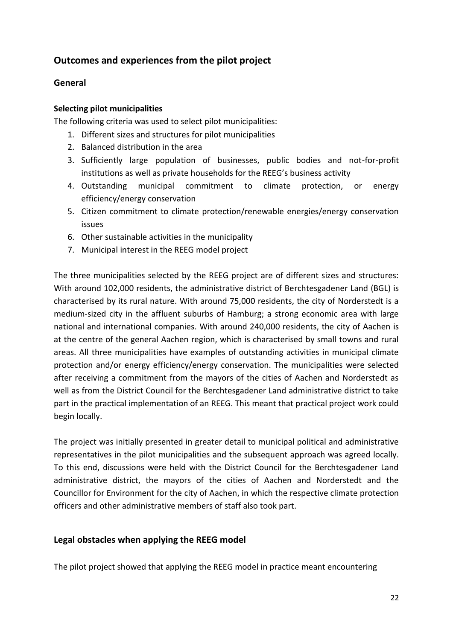# <span id="page-21-0"></span>**Outcomes and experiences from the pilot project**

## <span id="page-21-1"></span>**General**

#### **Selecting pilot municipalities**

The following criteria was used to select pilot municipalities:

- 1. Different sizes and structures for pilot municipalities
- 2. Balanced distribution in the area
- 3. Sufficiently large population of businesses, public bodies and not-for-profit institutions as well as private households for the REEG's business activity
- 4. Outstanding municipal commitment to climate protection, or energy efficiency/energy conservation
- 5. Citizen commitment to climate protection/renewable energies/energy conservation issues
- 6. Other sustainable activities in the municipality
- 7. Municipal interest in the REEG model project

The three municipalities selected by the REEG project are of different sizes and structures: With around 102,000 residents, the administrative district of Berchtesgadener Land (BGL) is characterised by its rural nature. With around 75,000 residents, the city of Norderstedt is a medium-sized city in the affluent suburbs of Hamburg; a strong economic area with large national and international companies. With around 240,000 residents, the city of Aachen is at the centre of the general Aachen region, which is characterised by small towns and rural areas. All three municipalities have examples of outstanding activities in municipal climate protection and/or energy efficiency/energy conservation. The municipalities were selected after receiving a commitment from the mayors of the cities of Aachen and Norderstedt as well as from the District Council for the Berchtesgadener Land administrative district to take part in the practical implementation of an REEG. This meant that practical project work could begin locally.

The project was initially presented in greater detail to municipal political and administrative representatives in the pilot municipalities and the subsequent approach was agreed locally. To this end, discussions were held with the District Council for the Berchtesgadener Land administrative district, the mayors of the cities of Aachen and Norderstedt and the Councillor for Environment for the city of Aachen, in which the respective climate protection officers and other administrative members of staff also took part.

#### <span id="page-21-2"></span>**Legal obstacles when applying the REEG model**

The pilot project showed that applying the REEG model in practice meant encountering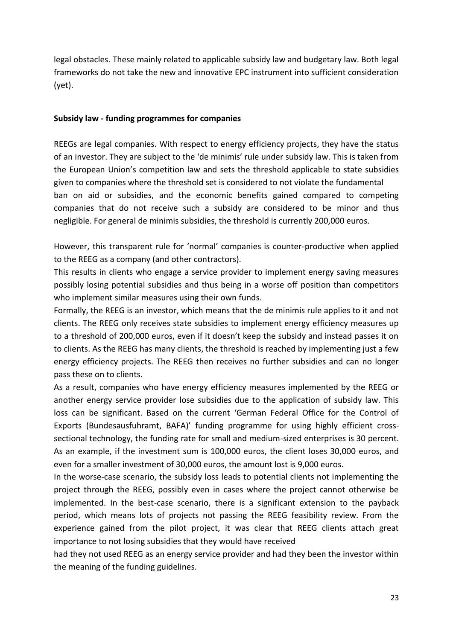legal obstacles. These mainly related to applicable subsidy law and budgetary law. Both legal frameworks do not take the new and innovative EPC instrument into sufficient consideration (yet).

#### <span id="page-22-0"></span>**Subsidy law - funding programmes for companies**

REEGs are legal companies. With respect to energy efficiency projects, they have the status of an investor. They are subject to the 'de minimis' rule under subsidy law. This is taken from the European Union's competition law and sets the threshold applicable to state subsidies given to companies where the threshold set is considered to not violate the fundamental ban on aid or subsidies, and the economic benefits gained compared to competing companies that do not receive such a subsidy are considered to be minor and thus negligible. For general de minimis subsidies, the threshold is currently 200,000 euros.

However, this transparent rule for 'normal' companies is counter-productive when applied to the REEG as a company (and other contractors).

This results in clients who engage a service provider to implement energy saving measures possibly losing potential subsidies and thus being in a worse off position than competitors who implement similar measures using their own funds.

Formally, the REEG is an investor, which means that the de minimis rule applies to it and not clients. The REEG only receives state subsidies to implement energy efficiency measures up to a threshold of 200,000 euros, even if it doesn't keep the subsidy and instead passes it on to clients. As the REEG has many clients, the threshold is reached by implementing just a few energy efficiency projects. The REEG then receives no further subsidies and can no longer pass these on to clients.

As a result, companies who have energy efficiency measures implemented by the REEG or another energy service provider lose subsidies due to the application of subsidy law. This loss can be significant. Based on the current 'German Federal Office for the Control of Exports (Bundesausfuhramt, BAFA)' funding programme for using highly efficient crosssectional technology, the funding rate for small and medium-sized enterprises is 30 percent. As an example, if the investment sum is 100,000 euros, the client loses 30,000 euros, and even for a smaller investment of 30,000 euros, the amount lost is 9,000 euros.

In the worse-case scenario, the subsidy loss leads to potential clients not implementing the project through the REEG, possibly even in cases where the project cannot otherwise be implemented. In the best-case scenario, there is a significant extension to the payback period, which means lots of projects not passing the REEG feasibility review. From the experience gained from the pilot project, it was clear that REEG clients attach great importance to not losing subsidies that they would have received

had they not used REEG as an energy service provider and had they been the investor within the meaning of the funding guidelines.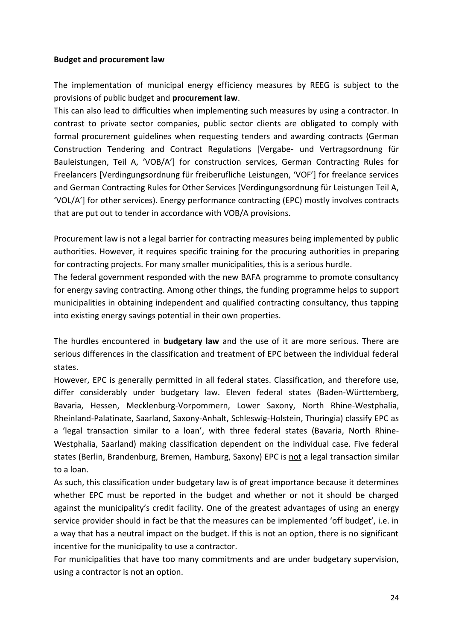#### <span id="page-23-0"></span>**Budget and procurement law**

The implementation of municipal energy efficiency measures by REEG is subject to the provisions of public budget and **procurement law**.

This can also lead to difficulties when implementing such measures by using a contractor. In contrast to private sector companies, public sector clients are obligated to comply with formal procurement guidelines when requesting tenders and awarding contracts (German Construction Tendering and Contract Regulations [Vergabe- und Vertragsordnung für Bauleistungen, Teil A, 'VOB/A'] for construction services, German Contracting Rules for Freelancers [Verdingungsordnung für freiberufliche Leistungen, 'VOF'] for freelance services and German Contracting Rules for Other Services [Verdingungsordnung für Leistungen Teil A, 'VOL/A'] for other services). Energy performance contracting (EPC) mostly involves contracts that are put out to tender in accordance with VOB/A provisions.

Procurement law is not a legal barrier for contracting measures being implemented by public authorities. However, it requires specific training for the procuring authorities in preparing for contracting projects. For many smaller municipalities, this is a serious hurdle.

The federal government responded with the new BAFA programme to promote consultancy for energy saving contracting. Among other things, the funding programme helps to support municipalities in obtaining independent and qualified contracting consultancy, thus tapping into existing energy savings potential in their own properties.

The hurdles encountered in **budgetary law** and the use of it are more serious. There are serious differences in the classification and treatment of EPC between the individual federal states.

However, EPC is generally permitted in all federal states. Classification, and therefore use, differ considerably under budgetary law. Eleven federal states (Baden-Württemberg, Bavaria, Hessen, Mecklenburg-Vorpommern, Lower Saxony, North Rhine-Westphalia, Rheinland-Palatinate, Saarland, Saxony-Anhalt, Schleswig-Holstein, Thuringia) classify EPC as a 'legal transaction similar to a loan', with three federal states (Bavaria, North Rhine-Westphalia, Saarland) making classification dependent on the individual case. Five federal states (Berlin, Brandenburg, Bremen, Hamburg, Saxony) EPC is not a legal transaction similar to a loan.

As such, this classification under budgetary law is of great importance because it determines whether EPC must be reported in the budget and whether or not it should be charged against the municipality's credit facility. One of the greatest advantages of using an energy service provider should in fact be that the measures can be implemented 'off budget', i.e. in a way that has a neutral impact on the budget. If this is not an option, there is no significant incentive for the municipality to use a contractor.

For municipalities that have too many commitments and are under budgetary supervision, using a contractor is not an option.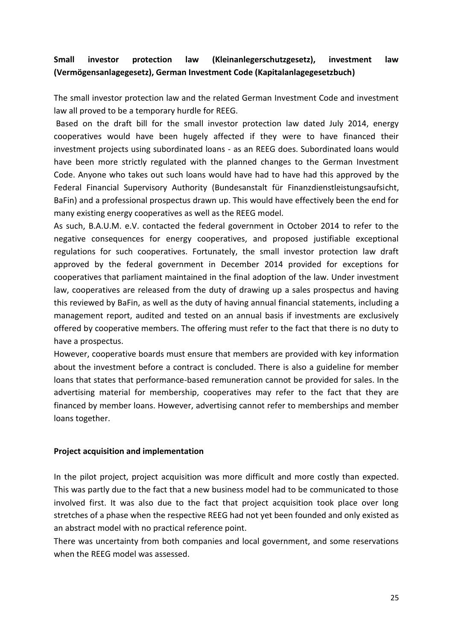# <span id="page-24-0"></span>**Small investor protection law (Kleinanlegerschutzgesetz), investment law (Vermögensanlagegesetz), German Investment Code (Kapitalanlagegesetzbuch)**

The small investor protection law and the related German Investment Code and investment law all proved to be a temporary hurdle for REEG.

Based on the draft bill for the small investor protection law dated July 2014, energy cooperatives would have been hugely affected if they were to have financed their investment projects using subordinated loans - as an REEG does. Subordinated loans would have been more strictly regulated with the planned changes to the German Investment Code. Anyone who takes out such loans would have had to have had this approved by the Federal Financial Supervisory Authority (Bundesanstalt für Finanzdienstleistungsaufsicht, BaFin) and a professional prospectus drawn up. This would have effectively been the end for many existing energy cooperatives as well as the REEG model.

As such, B.A.U.M. e.V. contacted the federal government in October 2014 to refer to the negative consequences for energy cooperatives, and proposed justifiable exceptional regulations for such cooperatives. Fortunately, the small investor protection law draft approved by the federal government in December 2014 provided for exceptions for cooperatives that parliament maintained in the final adoption of the law. Under investment law, cooperatives are released from the duty of drawing up a sales prospectus and having this reviewed by BaFin, as well as the duty of having annual financial statements, including a management report, audited and tested on an annual basis if investments are exclusively offered by cooperative members. The offering must refer to the fact that there is no duty to have a prospectus.

However, cooperative boards must ensure that members are provided with key information about the investment before a contract is concluded. There is also a guideline for member loans that states that performance-based remuneration cannot be provided for sales. In the advertising material for membership, cooperatives may refer to the fact that they are financed by member loans. However, advertising cannot refer to memberships and member loans together.

#### <span id="page-24-1"></span>**Project acquisition and implementation**

In the pilot project, project acquisition was more difficult and more costly than expected. This was partly due to the fact that a new business model had to be communicated to those involved first. It was also due to the fact that project acquisition took place over long stretches of a phase when the respective REEG had not yet been founded and only existed as an abstract model with no practical reference point.

There was uncertainty from both companies and local government, and some reservations when the REEG model was assessed.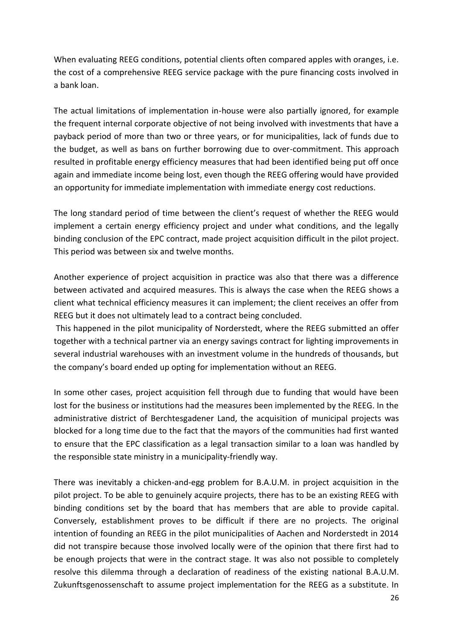When evaluating REEG conditions, potential clients often compared apples with oranges, i.e. the cost of a comprehensive REEG service package with the pure financing costs involved in a bank loan.

The actual limitations of implementation in-house were also partially ignored, for example the frequent internal corporate objective of not being involved with investments that have a payback period of more than two or three years, or for municipalities, lack of funds due to the budget, as well as bans on further borrowing due to over-commitment. This approach resulted in profitable energy efficiency measures that had been identified being put off once again and immediate income being lost, even though the REEG offering would have provided an opportunity for immediate implementation with immediate energy cost reductions.

The long standard period of time between the client's request of whether the REEG would implement a certain energy efficiency project and under what conditions, and the legally binding conclusion of the EPC contract, made project acquisition difficult in the pilot project. This period was between six and twelve months.

Another experience of project acquisition in practice was also that there was a difference between activated and acquired measures. This is always the case when the REEG shows a client what technical efficiency measures it can implement; the client receives an offer from REEG but it does not ultimately lead to a contract being concluded.

This happened in the pilot municipality of Norderstedt, where the REEG submitted an offer together with a technical partner via an energy savings contract for lighting improvements in several industrial warehouses with an investment volume in the hundreds of thousands, but the company's board ended up opting for implementation without an REEG.

In some other cases, project acquisition fell through due to funding that would have been lost for the business or institutions had the measures been implemented by the REEG. In the administrative district of Berchtesgadener Land, the acquisition of municipal projects was blocked for a long time due to the fact that the mayors of the communities had first wanted to ensure that the EPC classification as a legal transaction similar to a loan was handled by the responsible state ministry in a municipality-friendly way.

There was inevitably a chicken-and-egg problem for B.A.U.M. in project acquisition in the pilot project. To be able to genuinely acquire projects, there has to be an existing REEG with binding conditions set by the board that has members that are able to provide capital. Conversely, establishment proves to be difficult if there are no projects. The original intention of founding an REEG in the pilot municipalities of Aachen and Norderstedt in 2014 did not transpire because those involved locally were of the opinion that there first had to be enough projects that were in the contract stage. It was also not possible to completely resolve this dilemma through a declaration of readiness of the existing national B.A.U.M. Zukunftsgenossenschaft to assume project implementation for the REEG as a substitute. In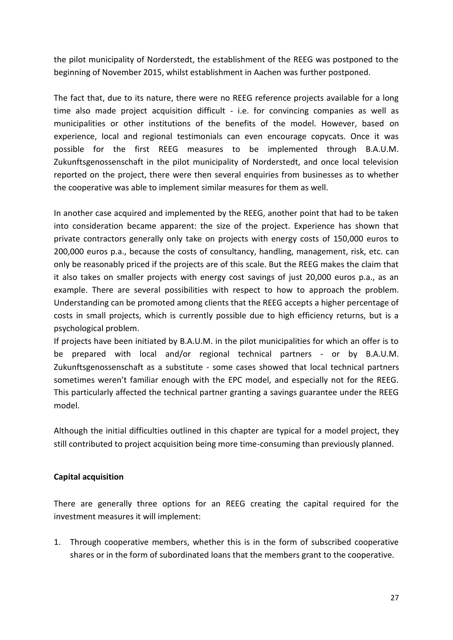the pilot municipality of Norderstedt, the establishment of the REEG was postponed to the beginning of November 2015, whilst establishment in Aachen was further postponed.

The fact that, due to its nature, there were no REEG reference projects available for a long time also made project acquisition difficult - i.e. for convincing companies as well as municipalities or other institutions of the benefits of the model. However, based on experience, local and regional testimonials can even encourage copycats. Once it was possible for the first REEG measures to be implemented through B.A.U.M. Zukunftsgenossenschaft in the pilot municipality of Norderstedt, and once local television reported on the project, there were then several enquiries from businesses as to whether the cooperative was able to implement similar measures for them as well.

In another case acquired and implemented by the REEG, another point that had to be taken into consideration became apparent: the size of the project. Experience has shown that private contractors generally only take on projects with energy costs of 150,000 euros to 200,000 euros p.a., because the costs of consultancy, handling, management, risk, etc. can only be reasonably priced if the projects are of this scale. But the REEG makes the claim that it also takes on smaller projects with energy cost savings of just 20,000 euros p.a., as an example. There are several possibilities with respect to how to approach the problem. Understanding can be promoted among clients that the REEG accepts a higher percentage of costs in small projects, which is currently possible due to high efficiency returns, but is a psychological problem.

If projects have been initiated by B.A.U.M. in the pilot municipalities for which an offer is to be prepared with local and/or regional technical partners - or by B.A.U.M. Zukunftsgenossenschaft as a substitute - some cases showed that local technical partners sometimes weren't familiar enough with the EPC model, and especially not for the REEG. This particularly affected the technical partner granting a savings guarantee under the REEG model.

Although the initial difficulties outlined in this chapter are typical for a model project, they still contributed to project acquisition being more time-consuming than previously planned.

#### <span id="page-26-0"></span>**Capital acquisition**

There are generally three options for an REEG creating the capital required for the investment measures it will implement:

1. Through cooperative members, whether this is in the form of subscribed cooperative shares or in the form of subordinated loans that the members grant to the cooperative.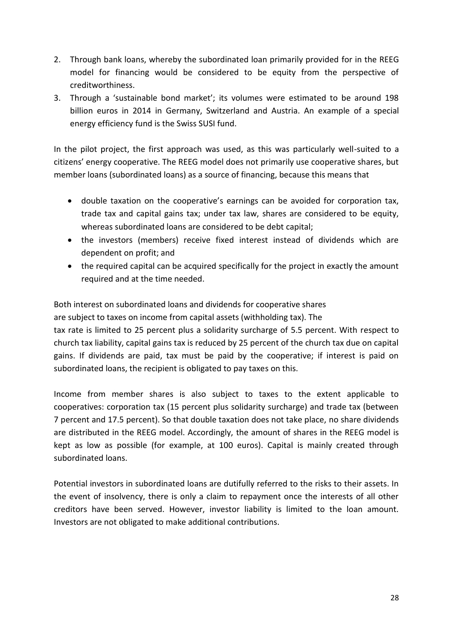- 2. Through bank loans, whereby the subordinated loan primarily provided for in the REEG model for financing would be considered to be equity from the perspective of creditworthiness.
- 3. Through a 'sustainable bond market'; its volumes were estimated to be around 198 billion euros in 2014 in Germany, Switzerland and Austria. An example of a special energy efficiency fund is the Swiss SUSI fund.

In the pilot project, the first approach was used, as this was particularly well-suited to a citizens' energy cooperative. The REEG model does not primarily use cooperative shares, but member loans (subordinated loans) as a source of financing, because this means that

- double taxation on the cooperative's earnings can be avoided for corporation tax, trade tax and capital gains tax; under tax law, shares are considered to be equity, whereas subordinated loans are considered to be debt capital;
- the investors (members) receive fixed interest instead of dividends which are dependent on profit; and
- the required capital can be acquired specifically for the project in exactly the amount required and at the time needed.

Both interest on subordinated loans and dividends for cooperative shares

are subject to taxes on income from capital assets (withholding tax). The

tax rate is limited to 25 percent plus a solidarity surcharge of 5.5 percent. With respect to church tax liability, capital gains tax is reduced by 25 percent of the church tax due on capital gains. If dividends are paid, tax must be paid by the cooperative; if interest is paid on subordinated loans, the recipient is obligated to pay taxes on this.

Income from member shares is also subject to taxes to the extent applicable to cooperatives: corporation tax (15 percent plus solidarity surcharge) and trade tax (between 7 percent and 17.5 percent). So that double taxation does not take place, no share dividends are distributed in the REEG model. Accordingly, the amount of shares in the REEG model is kept as low as possible (for example, at 100 euros). Capital is mainly created through subordinated loans.

<span id="page-27-0"></span>Potential investors in subordinated loans are dutifully referred to the risks to their assets. In the event of insolvency, there is only a claim to repayment once the interests of all other creditors have been served. However, investor liability is limited to the loan amount. Investors are not obligated to make additional contributions.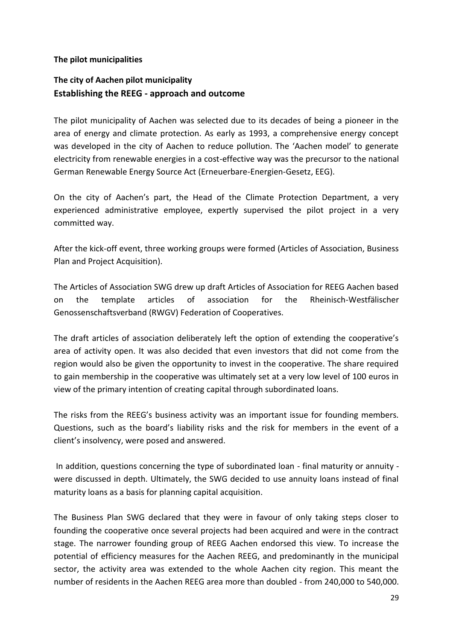#### **The pilot municipalities**

# **The city of Aachen pilot municipality Establishing the REEG - approach and outcome**

The pilot municipality of Aachen was selected due to its decades of being a pioneer in the area of energy and climate protection. As early as 1993, a comprehensive energy concept was developed in the city of Aachen to reduce pollution. The 'Aachen model' to generate electricity from renewable energies in a cost-effective way was the precursor to the national German Renewable Energy Source Act (Erneuerbare-Energien-Gesetz, EEG).

On the city of Aachen's part, the Head of the Climate Protection Department, a very experienced administrative employee, expertly supervised the pilot project in a very committed way.

After the kick-off event, three working groups were formed (Articles of Association, Business Plan and Project Acquisition).

The Articles of Association SWG drew up draft Articles of Association for REEG Aachen based on the template articles of association for the Rheinisch-Westfälischer Genossenschaftsverband (RWGV) Federation of Cooperatives.

The draft articles of association deliberately left the option of extending the cooperative's area of activity open. It was also decided that even investors that did not come from the region would also be given the opportunity to invest in the cooperative. The share required to gain membership in the cooperative was ultimately set at a very low level of 100 euros in view of the primary intention of creating capital through subordinated loans.

The risks from the REEG's business activity was an important issue for founding members. Questions, such as the board's liability risks and the risk for members in the event of a client's insolvency, were posed and answered.

In addition, questions concerning the type of subordinated loan - final maturity or annuity were discussed in depth. Ultimately, the SWG decided to use annuity loans instead of final maturity loans as a basis for planning capital acquisition.

The Business Plan SWG declared that they were in favour of only taking steps closer to founding the cooperative once several projects had been acquired and were in the contract stage. The narrower founding group of REEG Aachen endorsed this view. To increase the potential of efficiency measures for the Aachen REEG, and predominantly in the municipal sector, the activity area was extended to the whole Aachen city region. This meant the number of residents in the Aachen REEG area more than doubled - from 240,000 to 540,000.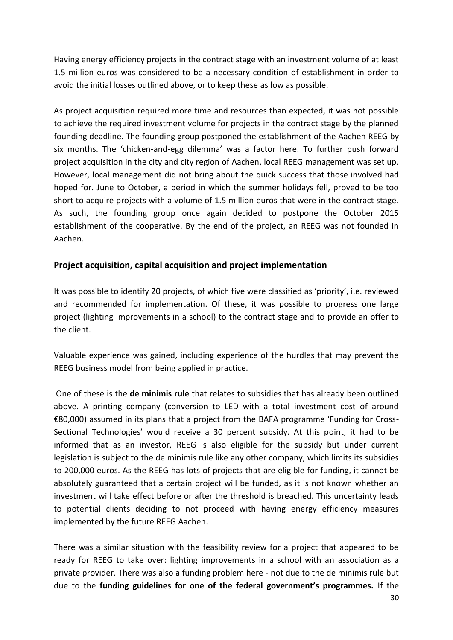Having energy efficiency projects in the contract stage with an investment volume of at least 1.5 million euros was considered to be a necessary condition of establishment in order to avoid the initial losses outlined above, or to keep these as low as possible.

As project acquisition required more time and resources than expected, it was not possible to achieve the required investment volume for projects in the contract stage by the planned founding deadline. The founding group postponed the establishment of the Aachen REEG by six months. The 'chicken-and-egg dilemma' was a factor here. To further push forward project acquisition in the city and city region of Aachen, local REEG management was set up. However, local management did not bring about the quick success that those involved had hoped for. June to October, a period in which the summer holidays fell, proved to be too short to acquire projects with a volume of 1.5 million euros that were in the contract stage. As such, the founding group once again decided to postpone the October 2015 establishment of the cooperative. By the end of the project, an REEG was not founded in Aachen.

## **Project acquisition, capital acquisition and project implementation**

It was possible to identify 20 projects, of which five were classified as 'priority', i.e. reviewed and recommended for implementation. Of these, it was possible to progress one large project (lighting improvements in a school) to the contract stage and to provide an offer to the client.

Valuable experience was gained, including experience of the hurdles that may prevent the REEG business model from being applied in practice.

One of these is the **de minimis rule** that relates to subsidies that has already been outlined above. A printing company (conversion to LED with a total investment cost of around €80,000) assumed in its plans that a project from the BAFA programme 'Funding for Cross-Sectional Technologies' would receive a 30 percent subsidy. At this point, it had to be informed that as an investor, REEG is also eligible for the subsidy but under current legislation is subject to the de minimis rule like any other company, which limits its subsidies to 200,000 euros. As the REEG has lots of projects that are eligible for funding, it cannot be absolutely guaranteed that a certain project will be funded, as it is not known whether an investment will take effect before or after the threshold is breached. This uncertainty leads to potential clients deciding to not proceed with having energy efficiency measures implemented by the future REEG Aachen.

There was a similar situation with the feasibility review for a project that appeared to be ready for REEG to take over: lighting improvements in a school with an association as a private provider. There was also a funding problem here - not due to the de minimis rule but due to the **funding guidelines for one of the federal government's programmes.** If the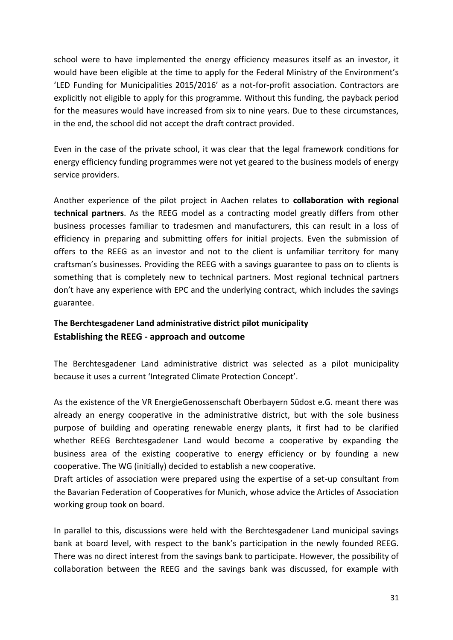school were to have implemented the energy efficiency measures itself as an investor, it would have been eligible at the time to apply for the Federal Ministry of the Environment's 'LED Funding for Municipalities 2015/2016' as a not-for-profit association. Contractors are explicitly not eligible to apply for this programme. Without this funding, the payback period for the measures would have increased from six to nine years. Due to these circumstances, in the end, the school did not accept the draft contract provided.

Even in the case of the private school, it was clear that the legal framework conditions for energy efficiency funding programmes were not yet geared to the business models of energy service providers.

Another experience of the pilot project in Aachen relates to **collaboration with regional technical partners**. As the REEG model as a contracting model greatly differs from other business processes familiar to tradesmen and manufacturers, this can result in a loss of efficiency in preparing and submitting offers for initial projects. Even the submission of offers to the REEG as an investor and not to the client is unfamiliar territory for many craftsman's businesses. Providing the REEG with a savings guarantee to pass on to clients is something that is completely new to technical partners. Most regional technical partners don't have any experience with EPC and the underlying contract, which includes the savings guarantee.

# **The Berchtesgadener Land administrative district pilot municipality Establishing the REEG - approach and outcome**

The Berchtesgadener Land administrative district was selected as a pilot municipality because it uses a current 'Integrated Climate Protection Concept'.

As the existence of the VR EnergieGenossenschaft Oberbayern Südost e.G. meant there was already an energy cooperative in the administrative district, but with the sole business purpose of building and operating renewable energy plants, it first had to be clarified whether REEG Berchtesgadener Land would become a cooperative by expanding the business area of the existing cooperative to energy efficiency or by founding a new cooperative. The WG (initially) decided to establish a new cooperative.

Draft articles of association were prepared using the expertise of a set-up consultant from the Bavarian Federation of Cooperatives for Munich, whose advice the Articles of Association working group took on board.

In parallel to this, discussions were held with the Berchtesgadener Land municipal savings bank at board level, with respect to the bank's participation in the newly founded REEG. There was no direct interest from the savings bank to participate. However, the possibility of collaboration between the REEG and the savings bank was discussed, for example with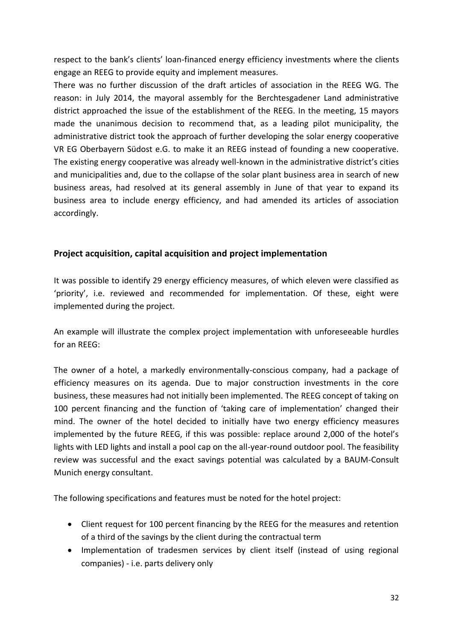respect to the bank's clients' loan-financed energy efficiency investments where the clients engage an REEG to provide equity and implement measures.

There was no further discussion of the draft articles of association in the REEG WG. The reason: in July 2014, the mayoral assembly for the Berchtesgadener Land administrative district approached the issue of the establishment of the REEG. In the meeting, 15 mayors made the unanimous decision to recommend that, as a leading pilot municipality, the administrative district took the approach of further developing the solar energy cooperative VR EG Oberbayern Südost e.G. to make it an REEG instead of founding a new cooperative. The existing energy cooperative was already well-known in the administrative district's cities and municipalities and, due to the collapse of the solar plant business area in search of new business areas, had resolved at its general assembly in June of that year to expand its business area to include energy efficiency, and had amended its articles of association accordingly.

# **Project acquisition, capital acquisition and project implementation**

It was possible to identify 29 energy efficiency measures, of which eleven were classified as 'priority', i.e. reviewed and recommended for implementation. Of these, eight were implemented during the project.

An example will illustrate the complex project implementation with unforeseeable hurdles for an REEG:

The owner of a hotel, a markedly environmentally-conscious company, had a package of efficiency measures on its agenda. Due to major construction investments in the core business, these measures had not initially been implemented. The REEG concept of taking on 100 percent financing and the function of 'taking care of implementation' changed their mind. The owner of the hotel decided to initially have two energy efficiency measures implemented by the future REEG, if this was possible: replace around 2,000 of the hotel's lights with LED lights and install a pool cap on the all-year-round outdoor pool. The feasibility review was successful and the exact savings potential was calculated by a BAUM-Consult Munich energy consultant.

The following specifications and features must be noted for the hotel project:

- Client request for 100 percent financing by the REEG for the measures and retention of a third of the savings by the client during the contractual term
- Implementation of tradesmen services by client itself (instead of using regional companies) - i.e. parts delivery only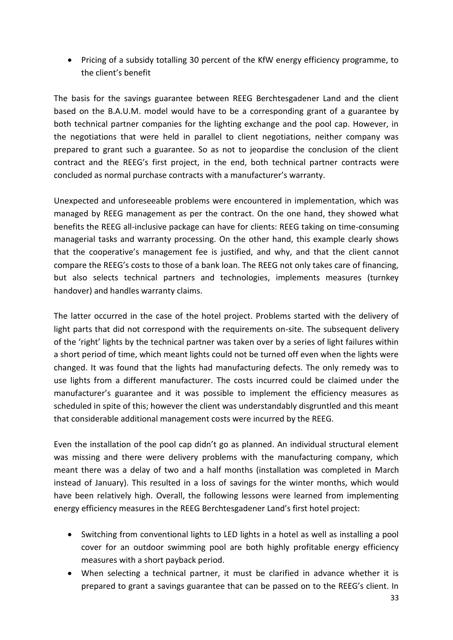Pricing of a subsidy totalling 30 percent of the KfW energy efficiency programme, to the client's benefit

The basis for the savings guarantee between REEG Berchtesgadener Land and the client based on the B.A.U.M. model would have to be a corresponding grant of a guarantee by both technical partner companies for the lighting exchange and the pool cap. However, in the negotiations that were held in parallel to client negotiations, neither company was prepared to grant such a guarantee. So as not to jeopardise the conclusion of the client contract and the REEG's first project, in the end, both technical partner contracts were concluded as normal purchase contracts with a manufacturer's warranty.

Unexpected and unforeseeable problems were encountered in implementation, which was managed by REEG management as per the contract. On the one hand, they showed what benefits the REEG all-inclusive package can have for clients: REEG taking on time-consuming managerial tasks and warranty processing. On the other hand, this example clearly shows that the cooperative's management fee is justified, and why, and that the client cannot compare the REEG's costs to those of a bank loan. The REEG not only takes care of financing, but also selects technical partners and technologies, implements measures (turnkey handover) and handles warranty claims.

The latter occurred in the case of the hotel project. Problems started with the delivery of light parts that did not correspond with the requirements on-site. The subsequent delivery of the 'right' lights by the technical partner was taken over by a series of light failures within a short period of time, which meant lights could not be turned off even when the lights were changed. It was found that the lights had manufacturing defects. The only remedy was to use lights from a different manufacturer. The costs incurred could be claimed under the manufacturer's guarantee and it was possible to implement the efficiency measures as scheduled in spite of this; however the client was understandably disgruntled and this meant that considerable additional management costs were incurred by the REEG.

Even the installation of the pool cap didn't go as planned. An individual structural element was missing and there were delivery problems with the manufacturing company, which meant there was a delay of two and a half months (installation was completed in March instead of January). This resulted in a loss of savings for the winter months, which would have been relatively high. Overall, the following lessons were learned from implementing energy efficiency measures in the REEG Berchtesgadener Land's first hotel project:

- Switching from conventional lights to LED lights in a hotel as well as installing a pool cover for an outdoor swimming pool are both highly profitable energy efficiency measures with a short payback period.
- When selecting a technical partner, it must be clarified in advance whether it is prepared to grant a savings guarantee that can be passed on to the REEG's client. In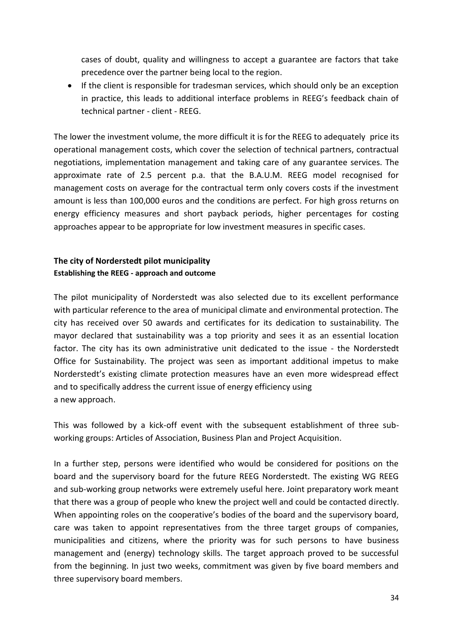cases of doubt, quality and willingness to accept a guarantee are factors that take precedence over the partner being local to the region.

• If the client is responsible for tradesman services, which should only be an exception in practice, this leads to additional interface problems in REEG's feedback chain of technical partner - client - REEG.

The lower the investment volume, the more difficult it is for the REEG to adequately price its operational management costs, which cover the selection of technical partners, contractual negotiations, implementation management and taking care of any guarantee services. The approximate rate of 2.5 percent p.a. that the B.A.U.M. REEG model recognised for management costs on average for the contractual term only covers costs if the investment amount is less than 100,000 euros and the conditions are perfect. For high gross returns on energy efficiency measures and short payback periods, higher percentages for costing approaches appear to be appropriate for low investment measures in specific cases.

# **The city of Norderstedt pilot municipality Establishing the REEG - approach and outcome**

The pilot municipality of Norderstedt was also selected due to its excellent performance with particular reference to the area of municipal climate and environmental protection. The city has received over 50 awards and certificates for its dedication to sustainability. The mayor declared that sustainability was a top priority and sees it as an essential location factor. The city has its own administrative unit dedicated to the issue - the Norderstedt Office for Sustainability. The project was seen as important additional impetus to make Norderstedt's existing climate protection measures have an even more widespread effect and to specifically address the current issue of energy efficiency using a new approach.

This was followed by a kick-off event with the subsequent establishment of three subworking groups: Articles of Association, Business Plan and Project Acquisition.

In a further step, persons were identified who would be considered for positions on the board and the supervisory board for the future REEG Norderstedt. The existing WG REEG and sub-working group networks were extremely useful here. Joint preparatory work meant that there was a group of people who knew the project well and could be contacted directly. When appointing roles on the cooperative's bodies of the board and the supervisory board, care was taken to appoint representatives from the three target groups of companies, municipalities and citizens, where the priority was for such persons to have business management and (energy) technology skills. The target approach proved to be successful from the beginning. In just two weeks, commitment was given by five board members and three supervisory board members.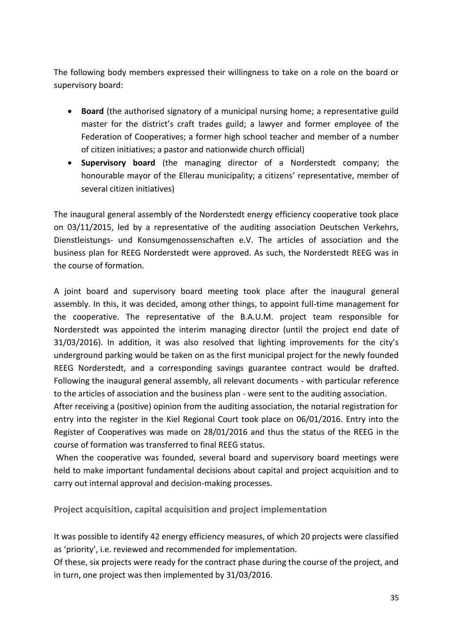The following body members expressed their willingness to take on a role on the board or supervisory board:

- **Board** (the authorised signatory of a municipal nursing home; a representative guild master for the district's craft trades guild; a lawyer and former employee of the Federation of Cooperatives; a former high school teacher and member of a number of citizen initiatives; a pastor and nationwide church official)
- **Supervisory board** (the managing director of a Norderstedt company; the honourable mayor of the Ellerau municipality; a citizens' representative, member of several citizen initiatives)

The inaugural general assembly of the Norderstedt energy efficiency cooperative took place on 03/11/2015, led by a representative of the auditing association Deutschen Verkehrs, Dienstleistungs- und Konsumgenossenschaften e.V. The articles of association and the business plan for REEG Norderstedt were approved. As such, the Norderstedt REEG was in the course of formation.

A joint board and supervisory board meeting took place after the inaugural general assembly. In this, it was decided, among other things, to appoint full-time management for the cooperative. The representative of the B.A.U.M. project team responsible for Norderstedt was appointed the interim managing director (until the project end date of 31/03/2016). In addition, it was also resolved that lighting improvements for the city's underground parking would be taken on as the first municipal project for the newly founded REEG Norderstedt, and a corresponding savings guarantee contract would be drafted. Following the inaugural general assembly, all relevant documents - with particular reference to the articles of association and the business plan - were sent to the auditing association.

After receiving a (positive) opinion from the auditing association, the notarial registration for entry into the register in the Kiel Regional Court took place on 06/01/2016. Entry into the Register of Cooperatives was made on 28/01/2016 and thus the status of the REEG in the course of formation was transferred to final REEG status.

When the cooperative was founded, several board and supervisory board meetings were held to make important fundamental decisions about capital and project acquisition and to carry out internal approval and decision-making processes.

**Project acquisition, capital acquisition and project implementation**

It was possible to identify 42 energy efficiency measures, of which 20 projects were classified as 'priority', i.e. reviewed and recommended for implementation.

Of these, six projects were ready for the contract phase during the course of the project, and in turn, one project was then implemented by 31/03/2016.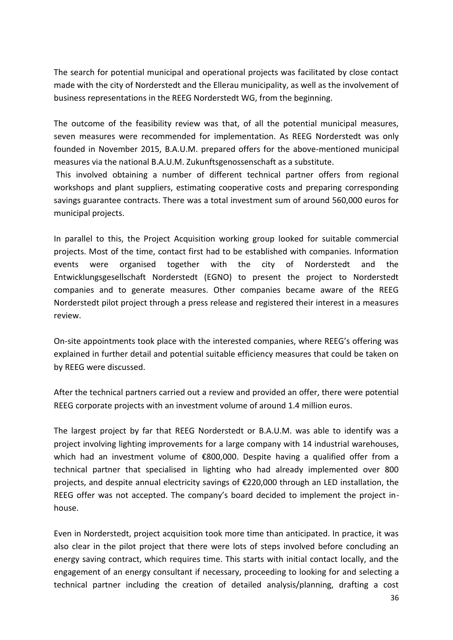The search for potential municipal and operational projects was facilitated by close contact made with the city of Norderstedt and the Ellerau municipality, as well as the involvement of business representations in the REEG Norderstedt WG, from the beginning.

The outcome of the feasibility review was that, of all the potential municipal measures, seven measures were recommended for implementation. As REEG Norderstedt was only founded in November 2015, B.A.U.M. prepared offers for the above-mentioned municipal measures via the national B.A.U.M. Zukunftsgenossenschaft as a substitute.

This involved obtaining a number of different technical partner offers from regional workshops and plant suppliers, estimating cooperative costs and preparing corresponding savings guarantee contracts. There was a total investment sum of around 560,000 euros for municipal projects.

In parallel to this, the Project Acquisition working group looked for suitable commercial projects. Most of the time, contact first had to be established with companies. Information events were organised together with the city of Norderstedt and the Entwicklungsgesellschaft Norderstedt (EGNO) to present the project to Norderstedt companies and to generate measures. Other companies became aware of the REEG Norderstedt pilot project through a press release and registered their interest in a measures review.

On-site appointments took place with the interested companies, where REEG's offering was explained in further detail and potential suitable efficiency measures that could be taken on by REEG were discussed.

After the technical partners carried out a review and provided an offer, there were potential REEG corporate projects with an investment volume of around 1.4 million euros.

The largest project by far that REEG Norderstedt or B.A.U.M. was able to identify was a project involving lighting improvements for a large company with 14 industrial warehouses, which had an investment volume of €800,000. Despite having a qualified offer from a technical partner that specialised in lighting who had already implemented over 800 projects, and despite annual electricity savings of €220,000 through an LED installation, the REEG offer was not accepted. The company's board decided to implement the project inhouse.

Even in Norderstedt, project acquisition took more time than anticipated. In practice, it was also clear in the pilot project that there were lots of steps involved before concluding an energy saving contract, which requires time. This starts with initial contact locally, and the engagement of an energy consultant if necessary, proceeding to looking for and selecting a technical partner including the creation of detailed analysis/planning, drafting a cost